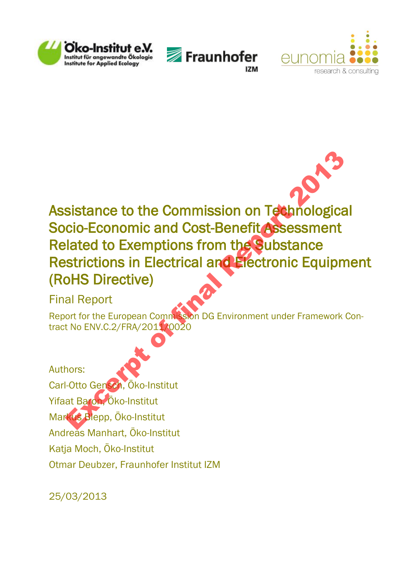





# Assistance to the Commission on Technological Socio-Economic and Cost-Benefit Assessment Related to Exemptions from the Substance Restrictions in Electrical and Electronic Equipment (RoHS Directive) Sistance to the Commission on Technologica<br>cio-Economic and Cost-Benefit Assessment<br>lated to Exemptions from the Substance<br>strictions in Electrical and Electronic Equipm<br>oHS Directive)<br>al Report<br>of for the European Commiss

## Final Report

Report for the European Commission DG Environment under Framework Contract No ENV.C.2/FRA/2011/0020

Authors: Carl-Otto Gensch, Öko-Institut Yifaat Baron, Öko-Institut Markus Blepp, Öko-Institut Andreas Manhart, Öko-Institut Katja Moch, Öko-Institut Otmar Deubzer, Fraunhofer Institut IZM

25/03/2013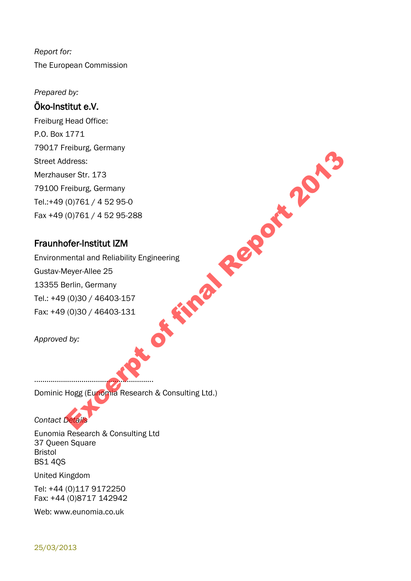*Report for:*  The European Commission

*Prepared by:* 

#### Öko-Institut e.V.

Freiburg Head Office: P.O. Box 1771 79017 Freiburg, Germany Street Address: Merzhauser Str. 173 79100 Freiburg, Germany Tel.:+49 (0)761 / 4 52 95-0 Fax +49 (0)761 / 4 52 95-288

#### Fraunhofer-Institut IZM

Environmental and Reliability Engineering Gustav-Meyer-Allee 25 13355 Berlin, Germany Tel.: +49 (0)30 / 46403-157 Fax: +49 (0)30 / 46403-131 **Ex final Report 2013** 

*Approved by:* 

## ………………………………………………….

Dominic Hogg (Eunomia Research & Consulting Ltd.)

*Contact Details* 

Eunomia Research & Consulting Ltd 37 Queen Square Bristol BS1 4QS

United Kingdom

Tel: +44 (0)117 9172250 Fax: +44 (0)8717 142942

Web: www.eunomia.co.uk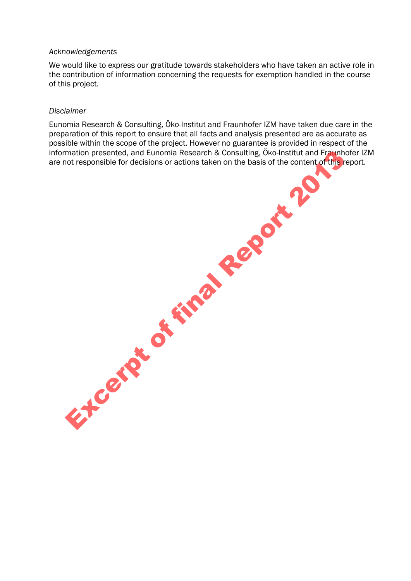#### *Acknowledgements*

We would like to express our gratitude towards stakeholders who have taken an active role in the contribution of information concerning the requests for exemption handled in the course of this project.

#### *Disclaimer*

Eunomia Research & Consulting, Öko-Institut and Fraunhofer IZM have taken due care in the preparation of this report to ensure that all facts and analysis presented are as accurate as possible within the scope of the project. However no guarantee is provided in respect of the information presented, and Eunomia Research & Consulting, Öko-Institut and Fraunhofer IZM are not responsible for decisions or actions taken on the basis of the content of this report. Excerpt of final Report 2013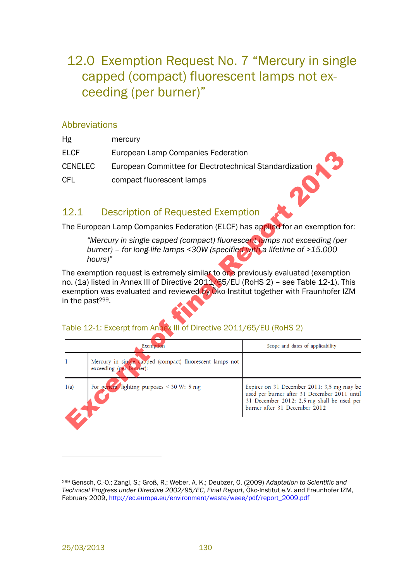## 12.0 Exemption Request No. 7 "Mercury in single capped (compact) fluorescent lamps not exceeding (per burner)"

#### Abbreviations

| Hg             | mercury                                                 |
|----------------|---------------------------------------------------------|
| <b>ELCF</b>    | European Lamp Companies Federation                      |
| <b>CENELEC</b> | European Committee for Electrotechnical Standardization |
| CFL            | compact fluorescent lamps                               |

#### <span id="page-3-1"></span>12.1 Description of Requested Exemption

#### <span id="page-3-0"></span>Table 12-1: Excerpt from Annex III of Directive 2011/65/EU (RoHS 2)

| ELCF                         |                                                                                                                                                                                                                                                                                                                                        | European Lamp Companies Federation                                                                                                                                        |  |  |  |
|------------------------------|----------------------------------------------------------------------------------------------------------------------------------------------------------------------------------------------------------------------------------------------------------------------------------------------------------------------------------------|---------------------------------------------------------------------------------------------------------------------------------------------------------------------------|--|--|--|
| CENELEC                      | European Committee for Electrotechnical Standardization                                                                                                                                                                                                                                                                                |                                                                                                                                                                           |  |  |  |
| CFL                          | compact fluorescent lamps                                                                                                                                                                                                                                                                                                              |                                                                                                                                                                           |  |  |  |
| 12.1                         | <b>Description of Requested Exemption</b>                                                                                                                                                                                                                                                                                              |                                                                                                                                                                           |  |  |  |
|                              | The European Lamp Companies Federation (ELCF) has applied for an exemption for:                                                                                                                                                                                                                                                        |                                                                                                                                                                           |  |  |  |
|                              | "Mercury in single capped (compact) fluorescent lamps not exceeding (per<br>burner) - for long-life lamps <30W (specified with a lifetime of >15.000<br>hours)"                                                                                                                                                                        |                                                                                                                                                                           |  |  |  |
| in the past <sup>299</sup> . | The exemption request is extremely similar to one previously evaluated (exemption<br>no. (1a) listed in Annex III of Directive 2011/65/EU (RoHS 2) - see Table 12-1). This<br>exemption was evaluated and reviewed by Oko-Institut together with Fraunhofer IZM<br>Table 12-1: Excerpt from Annex III of Directive 2011/65/EU (RoHS 2) |                                                                                                                                                                           |  |  |  |
|                              | Exemption                                                                                                                                                                                                                                                                                                                              | Scope and dates of applicability                                                                                                                                          |  |  |  |
| 1                            | Mercury in single capped (compact) fluorescent lamps not<br>exceeding (per burner):                                                                                                                                                                                                                                                    |                                                                                                                                                                           |  |  |  |
| 1(a)                         | For general lighting purposes < $30 \text{ W: } 5 \text{ mg}$                                                                                                                                                                                                                                                                          | Expires on 31 December 2011; 3,5 mg may be<br>used per burner after 31 December 2011 until<br>31 December 2012; 2,5 mg shall be used per<br>burner after 31 December 2012 |  |  |  |
|                              |                                                                                                                                                                                                                                                                                                                                        |                                                                                                                                                                           |  |  |  |

<sup>299</sup> Gensch, C.-O.; Zangl, S.; Groß, R.; Weber, A. K.; Deubzer, O. (2009) *Adaptation to Scientific and Technical Progress under Directive 2002/95/EC, Final Report*, Öko-Institut e.V. and Fraunhofer IZM, February 2009, [http://ec.europa.eu/environment/waste/weee/pdf/report\\_2009.pdf](http://ec.europa.eu/environment/waste/weee/pdf/report_2009.pdf)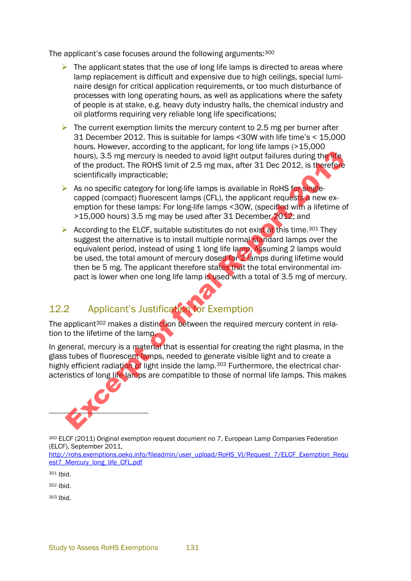The applicant's case focuses around the following arguments:<sup>300</sup>

- $\triangleright$  The applicant states that the use of long life lamps is directed to areas where lamp replacement is difficult and expensive due to high ceilings, special luminaire design for critical application requirements, or too much disturbance of processes with long operating hours, as well as applications where the safety of people is at stake, e.g. heavy duty industry halls, the chemical industry and oil platforms requiring very reliable long life specifications;
- $\triangleright$  The current exemption limits the mercury content to 2.5 mg per burner after 31 December 2012. This is suitable for lamps <30W with life time's < 15,000 hours. However, according to the applicant, for long life lamps (>15,000 hours), 3.5 mg mercury is needed to avoid light output failures during the life of the product. The ROHS limit of 2.5 mg max, after 31 Dec 2012, is therefore scientifically impracticable;
- $\triangleright$  As no specific category for long-life lamps is available in RoHS for singlecapped (compact) fluorescent lamps (CFL), the applicant requests a new exemption for these lamps: For long-life lamps <30W, (specified with a lifetime of >15,000 hours) 3.5 mg may be used after 31 December 2012; and
- According to the ELCF, suitable substitutes do not exist at this time.<sup>301</sup> They suggest the alternative is to install multiple normal standard lamps over the equivalent period, instead of using 1 long life lamp. Assuming 2 lamps would be used, the total amount of mercury dosed for 2 lamps during lifetime would then be 5 mg. The applicant therefore states that the total environmental impact is lower when one long life lamp is used with a total of 3.5 mg of mercury. the product. The ROHS limit of 2.5 mg of mercury is needed to avoid light output failures during the life of the product. The ROHS limit of 2.5 mg max, after 31 Dec 2012, is therefore<br>of the product. The ROHS limit of 2.5

## 12.2 Applicant's Justification for Exemption

The applicant<sup>302</sup> makes a distinction between the required mercury content in relation to the lifetime of the lamp.

In general, mercury is a material that is essential for creating the right plasma, in the glass tubes of fluorescent lamps, needed to generate visible light and to create a highly efficient radiation of light inside the lamp.<sup>303</sup> Furthermore, the electrical characteristics of long life lamps are compatible to those of normal life lamps. This makes



<sup>300</sup> ELCF (2011) Original exemption request document no 7, European Lamp Companies Federation (ELCF), September 2011,

[http://rohs.exemptions.oeko.info/fileadmin/user\\_upload/RoHS\\_VI/Request\\_7/ELCF\\_Exemption\\_Requ](http://rohs.exemptions.oeko.info/fileadmin/user_upload/RoHS_VI/Request_7/ELCF_Exemption_Request7_Mercury_long_life_CFL.pdf) [est7\\_Mercury\\_long\\_life\\_CFL.pdf](http://rohs.exemptions.oeko.info/fileadmin/user_upload/RoHS_VI/Request_7/ELCF_Exemption_Request7_Mercury_long_life_CFL.pdf)

<sup>301</sup> Ibid.

<sup>302</sup> Ibid.

<sup>303</sup> Ibid.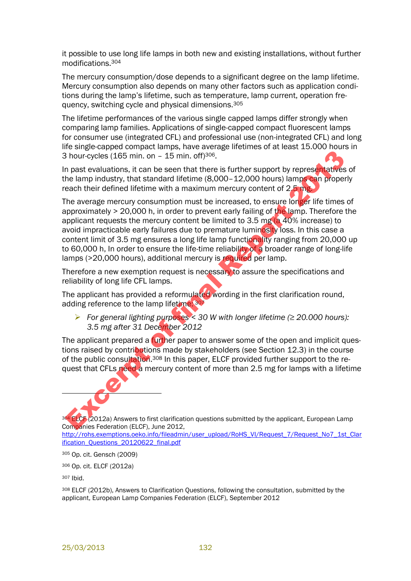it possible to use long life lamps in both new and existing installations, without further modifications.<sup>304</sup>

The mercury consumption/dose depends to a significant degree on the lamp lifetime. Mercury consumption also depends on many other factors such as application conditions during the lamp's lifetime, such as temperature, lamp current, operation frequency, switching cycle and physical dimensions.<sup>305</sup>

The lifetime performances of the various single capped lamps differ strongly when comparing lamp families. Applications of single-capped compact fluorescent lamps for consumer use (integrated CFL) and professional use (non-integrated CFL) and long life single-capped compact lamps, have average lifetimes of at least 15.000 hours in 3 hour-cycles (165 min. on – 15 min. off)306.

In past evaluations, it can be seen that there is further support by representatives of the lamp industry, that standard lifetime (8,000–12,000 hours) lamps can properly reach their defined lifetime with a maximum mercury content of 2.5 mg.

The average mercury consumption must be increased, to ensure longer life times of approximately > 20,000 h, in order to prevent early failing of the lamp. Therefore the applicant requests the mercury content be limited to 3.5 mg (a 40% increase) to avoid impracticable early failures due to premature luminosity loss. In this case a content limit of 3.5 mg ensures a long life lamp functionality ranging from 20,000 up to 60,000 h, In order to ensure the life-time reliability of a broader range of long-life lamps (>20,000 hours), additional mercury is required per lamp. Bour-cycles (165 min. on  $-15$  min. off)<sup>309</sup>.<br>
Bour-cycles (165 min. on  $-15$  min. off)<sup>309</sup>.<br>
In past evaluations, it can be seen that there is further support by representatives<br>
teach their defined lifetime with a max

Therefore a new exemption request is necessary to assure the specifications and reliability of long life CFL lamps.

The applicant has provided a reformulated wording in the first clarification round, adding reference to the lamp lifetime: <sup>307</sup>

 *For general lighting purposes < 30 W with longer lifetime (≥ 20.000 hours): 3.5 mg after 31 December 2012* 

The applicant prepared a **further paper to answer some of the open and implicit ques**tions raised by contributions made by stakeholders (see Section 12.3) in the course of the public consultation.<sup>308</sup> In this paper, ELCF provided further support to the request that CFLs need a mercury content of more than 2.5 mg for lamps with a lifetime



304 ELCF (2012a) Answers to first clarification questions submitted by the applicant, European Lamp Companies Federation (ELCF), June 2012, [http://rohs.exemptions.oeko.info/fileadmin/user\\_upload/RoHS\\_VI/Request\\_7/Request\\_No7\\_1st\\_Clar](http://rohs.exemptions.oeko.info/fileadmin/user_upload/RoHS_VI/Request_7/Request_No7_1st_Clarification_Questions_20120622_final.pdf)

[ification\\_Questions\\_20120622\\_final.pdf](http://rohs.exemptions.oeko.info/fileadmin/user_upload/RoHS_VI/Request_7/Request_No7_1st_Clarification_Questions_20120622_final.pdf)

<sup>305</sup> Op. cit. Gensch (2009)

<sup>306</sup> Op. cit. ELCF (2012a)

<sup>307</sup> Ibid.

<sup>308</sup> ELCF (2012b), Answers to Clarification Questions, following the consultation, submitted by the applicant, European Lamp Companies Federation (ELCF), September 2012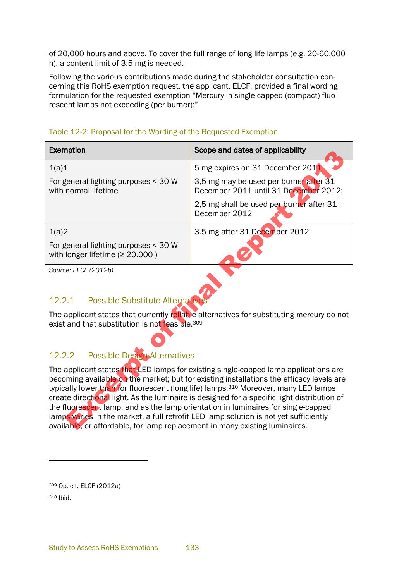of 20,000 hours and above. To cover the full range of long life lamps (e.g. 20-60.000 h), a content limit of 3.5 mg is needed.

Following the various contributions made during the stakeholder consultation concerning this RoHS exemption request, the applicant, ELCF, provided a final wording formulation for the requested exemption "Mercury in single capped (compact) fluorescent lamps not exceeding (per burner):"

#### Table 12-2: Proposal for the Wording of the Requested Exemption

| Exemption                                                                                                                                                                                                                                                                                                                                                                                                                                                                                                                                                                                                                                       | Scope and dates of applicability                                                |  |  |  |
|-------------------------------------------------------------------------------------------------------------------------------------------------------------------------------------------------------------------------------------------------------------------------------------------------------------------------------------------------------------------------------------------------------------------------------------------------------------------------------------------------------------------------------------------------------------------------------------------------------------------------------------------------|---------------------------------------------------------------------------------|--|--|--|
| 1(a)1                                                                                                                                                                                                                                                                                                                                                                                                                                                                                                                                                                                                                                           | 5 mg expires on 31 December 2011                                                |  |  |  |
| For general lighting purposes < 30 W<br>with normal lifetime                                                                                                                                                                                                                                                                                                                                                                                                                                                                                                                                                                                    | 3,5 mg may be used per burner after 31<br>December 2011 until 31 December 2012; |  |  |  |
|                                                                                                                                                                                                                                                                                                                                                                                                                                                                                                                                                                                                                                                 | 2,5 mg shall be used per burner after 31<br>December 2012                       |  |  |  |
| 1(a)2                                                                                                                                                                                                                                                                                                                                                                                                                                                                                                                                                                                                                                           | 3.5 mg after 31 December 2012                                                   |  |  |  |
| For general lighting purposes < 30 W<br>with longer lifetime $(≥ 20.000)$                                                                                                                                                                                                                                                                                                                                                                                                                                                                                                                                                                       |                                                                                 |  |  |  |
| Source: ELCF (2012b)<br><b>Possible Substitute Alternative</b><br>12.2.1                                                                                                                                                                                                                                                                                                                                                                                                                                                                                                                                                                        |                                                                                 |  |  |  |
| The applicant states that currently reliable alternatives for substituting mercury do not<br>exist and that substitution is not feasible. <sup>309</sup>                                                                                                                                                                                                                                                                                                                                                                                                                                                                                        |                                                                                 |  |  |  |
| <b>Possible Design Alternatives</b><br>12.2.2                                                                                                                                                                                                                                                                                                                                                                                                                                                                                                                                                                                                   |                                                                                 |  |  |  |
| The applicant states that LED lamps for existing single-capped lamp applications are<br>becoming available on the market; but for existing installations the efficacy levels are<br>typically lower than for fluorescent (long life) lamps. <sup>310</sup> Moreover, many LED lamps<br>create directional light. As the luminaire is designed for a specific light distribution of<br>the fluorescent lamp, and as the lamp orientation in luminaires for single-capped<br>lamps varies in the market, a full retrofit LED lamp solution is not yet sufficiently<br>available, or affordable, for lamp replacement in many existing luminaires. |                                                                                 |  |  |  |

#### 12.2.1 Possible Substitute Alternative

#### 12.2.2 Possible Design Alternatives

<sup>309</sup> Op. cit. ELCF (2012a) <sup>310</sup> Ibid.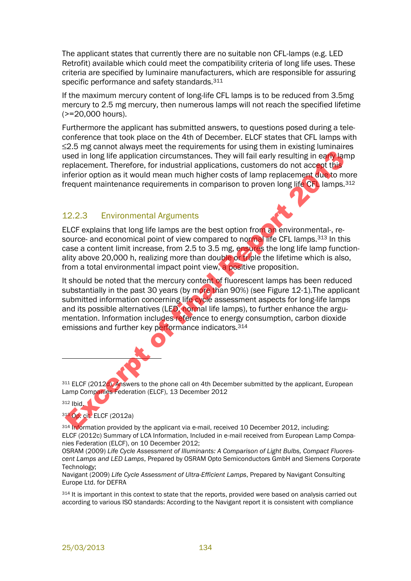The applicant states that currently there are no suitable non CFL-lamps (e.g. LED Retrofit) available which could meet the compatibility criteria of long life uses. These criteria are specified by luminaire manufacturers, which are responsible for assuring specific performance and safety standards.<sup>311</sup>

If the maximum mercury content of long-life CFL lamps is to be reduced from 3.5mg mercury to 2.5 mg mercury, then numerous lamps will not reach the specified lifetime (>=20,000 hours).

Furthermore the applicant has submitted answers, to questions posed during a teleconference that took place on the 4th of December. ELCF states that CFL lamps with ≤2.5 mg cannot always meet the requirements for using them in existing luminaires used in long life application circumstances. They will fail early resulting in early lamp replacement. Therefore, for industrial applications, customers do not accept this inferior option as it would mean much higher costs of lamp replacement due to more frequent maintenance requirements in comparison to proven long life CFL lamps.<sup>312</sup>

#### 12.2.3 Environmental Arguments

ELCF explains that long life lamps are the best option from an environmental-, resource- and economical point of view compared to normal life CFL lamps.<sup>313</sup> In this case a content limit increase, from 2.5 to 3.5 mg, ensures the long life lamp functionality above 20,000 h, realizing more than double or triple the lifetime which is also, from a total environmental impact point view, a positive proposition.

It should be noted that the mercury content of fluorescent lamps has been reduced substantially in the past 30 years (by more than 90%) (see Figure 12-1). The applicant submitted information concerning life cycle assessment aspects for long-life lamps and its possible alternatives (LED, normal life lamps), to further enhance the argumentation. Information includes reference to energy consumption, carbon dioxide emissions and further key performance indicators.<sup>314</sup> See in long life application circumstances. They will fail early resulting in early land<br>therefore, for industrial applications, customers do not accept the<br>decreasement. Therefore, for industrial applications, customers d

311 ELCF (2012d), Answers to the phone call on 4th December submitted by the applicant, European Lamp Companies Federation (ELCF), 13 December 2012

#### $312$  Ibid.

 $\overline{a}$ 

<sup>313</sup> Op. cit. ELCF (2012a)

<sup>314</sup> Information provided by the applicant via e-mail, received 10 December 2012, including: ELCF (2012c) Summary of LCA Information, Included in e-mail received from European Lamp Companies Federation (ELCF), on 10 December 2012;

OSRAM (2009) *Life Cycle Assessment of Illuminants: A Comparison of Light Bulbs, Compact Fluorescent Lamps and LED Lamps*, Prepared by OSRAM Opto Semiconductors GmbH and Siemens Corporate Technology;

Navigant (2009) *Life Cycle Assessment of Ultra-Efficient Lamps*, Prepared by Navigant Consulting Europe Ltd. for DEFRA

314 It is important in this context to state that the reports, provided were based on analysis carried out according to various ISO standards: According to the Navigant report it is consistent with compliance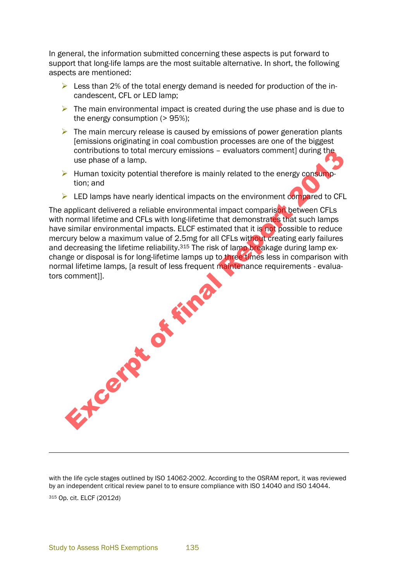In general, the information submitted concerning these aspects is put forward to support that long-life lamps are the most suitable alternative. In short, the following aspects are mentioned:

- $\triangleright$  Less than 2% of the total energy demand is needed for production of the incandescent, CFL or LED lamp;
- $\triangleright$  The main environmental impact is created during the use phase and is due to the energy consumption ( $> 95\%$ );
- $\triangleright$  The main mercury release is caused by emissions of power generation plants [emissions originating in coal combustion processes are one of the biggest contributions to total mercury emissions – evaluators comment] during the use phase of a lamp.
- $\triangleright$  Human toxicity potential therefore is mainly related to the energy consumption; and
- $\triangleright$  LED lamps have nearly identical impacts on the environment compared to CFL

The applicant delivered a reliable environmental impact comparison between CFLs with normal lifetime and CFLs with long-lifetime that demonstrates that such lamps have similar environmental impacts. ELCF estimated that it is not possible to reduce mercury below a maximum value of 2.5mg for all CFLs without creating early failures and decreasing the lifetime reliability.<sup>315</sup> The risk of lamp breakage during lamp exchange or disposal is for long-lifetime lamps up to three times less in comparison with normal lifetime lamps, [a result of less frequent maintenance requirements - evaluators comment]]. Except of final

with the life cycle stages outlined by ISO 14062-2002. According to the OSRAM report, it was reviewed by an independent critical review panel to to ensure compliance with ISO 14040 and ISO 14044. <sup>315</sup> Op. cit. ELCF (2012d)

l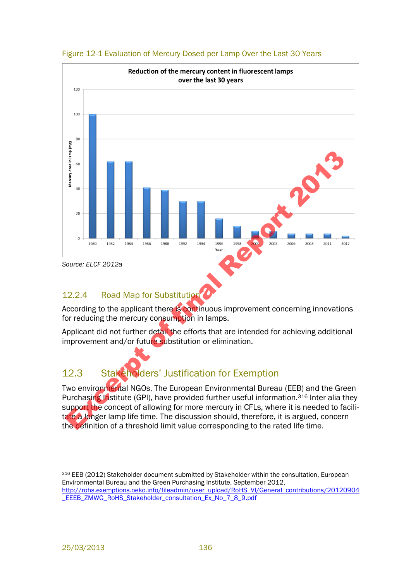

#### <span id="page-9-1"></span>Figure 12-1 Evaluation of Mercury Dosed per Lamp Over the Last 30 Years

#### 12.2.4 Road Map for Substitution

According to the applicant there is continuous improvement concerning innovations for reducing the mercury consumption in lamps.

Applicant did not further detail the efforts that are intended for achieving additional improvement and/or future substitution or elimination.

## <span id="page-9-0"></span>12.3 Stakeholders' Justification for Exemption

Two environmental NGOs, The European Environmental Bureau (EEB) and the Green Purchasing Institute (GPI), have provided further useful information.<sup>316</sup> Inter alia they support the concept of allowing for more mercury in CFLs, where it is needed to facilitate a longer lamp life time. The discussion should, therefore, it is argued, concern the definition of a threshold limit value corresponding to the rated life time.

316 EEB (2012) Stakeholder document submitted by Stakeholder within the consultation, European Environmental Bureau and the Green Purchasing Institute, September 2012, [http://rohs.exemptions.oeko.info/fileadmin/user\\_upload/RoHS\\_VI/General\\_contributions/20120904](http://rohs.exemptions.oeko.info/fileadmin/user_upload/RoHS_VI/General_contributions/20120904_EEEB_ZMWG_RoHS_Stakeholder_consultation_Ex_No_7_8_9.pdf) [\\_EEEB\\_ZMWG\\_RoHS\\_Stakeholder\\_consultation\\_Ex\\_No\\_7\\_8\\_9.pdf](http://rohs.exemptions.oeko.info/fileadmin/user_upload/RoHS_VI/General_contributions/20120904_EEEB_ZMWG_RoHS_Stakeholder_consultation_Ex_No_7_8_9.pdf) 

l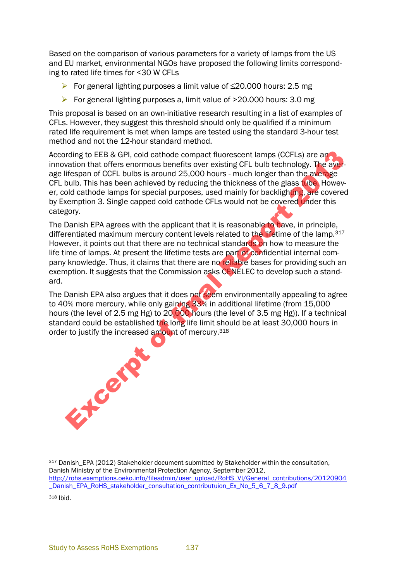Based on the comparison of various parameters for a variety of lamps from the US and EU market, environmental NGOs have proposed the following limits corresponding to rated life times for <30 W CFLs

- For general lighting purposes a limit value of ≤20.000 hours: 2.5 mg
- For general lighting purposes a, limit value of  $>$ 20.000 hours: 3.0 mg

This proposal is based on an own-initiative research resulting in a list of examples of CFLs. However, they suggest this threshold should only be qualified if a minimum rated life requirement is met when lamps are tested using the standard 3-hour test method and not the 12-hour standard method.

According to EEB & GPI, cold cathode compact fluorescent lamps (CCFLs) are an innovation that offers enormous benefits over existing CFL bulb technology. The average lifespan of CCFL bulbs is around 25,000 hours - much longer than the average CFL bulb. This has been achieved by reducing the thickness of the glass tube. However, cold cathode lamps for special purposes, used mainly for backlighting, are covered by Exemption 3. Single capped cold cathode CFLs would not be covered under this category. rding to EEB & GPI, cold cathode compact fluorescent lamps (CCFLs) are an axiation that offers enormous benefits over existing CFL bulb technology. The awifies the distantine different of first have the state of the distan

The Danish EPA agrees with the applicant that it is reasonable to have, in principle, differentiated maximum mercury content levels related to the lifetime of the lamp.<sup>317</sup> However, it points out that there are no technical standards on how to measure the life time of lamps. At present the lifetime tests are part of confidential internal company knowledge. Thus, it claims that there are no reliable bases for providing such an exemption. It suggests that the Commission asks CENELEC to develop such a standard.

The Danish EPA also argues that it does not seem environmentally appealing to agree to 40% more mercury, while only gaining 33% in additional lifetime (from 15,000 hours (the level of 2.5 mg Hg) to 20,000 hours (the level of 3.5 mg Hg)). If a technical standard could be established the long life limit should be at least 30,000 hours in order to justify the increased amount of mercury.<sup>318</sup>

 $\overline{a}$ 

<sup>317</sup> Danish\_EPA (2012) Stakeholder document submitted by Stakeholder within the consultation, Danish Ministry of the Environmental Protection Agency, September 2012, [http://rohs.exemptions.oeko.info/fileadmin/user\\_upload/RoHS\\_VI/General\\_contributions/20120904](http://rohs.exemptions.oeko.info/fileadmin/user_upload/RoHS_VI/General_contributions/20120904_Danish_EPA_RoHS_stakeholder_consultation_contributuion_Ex_No_5_6_7_8_9.pdf) Danish\_EPA\_RoHS\_stakeholder\_consultation\_contributuion\_Ex\_No\_5\_6\_7\_8\_9.pdf <sup>318</sup> Ibid.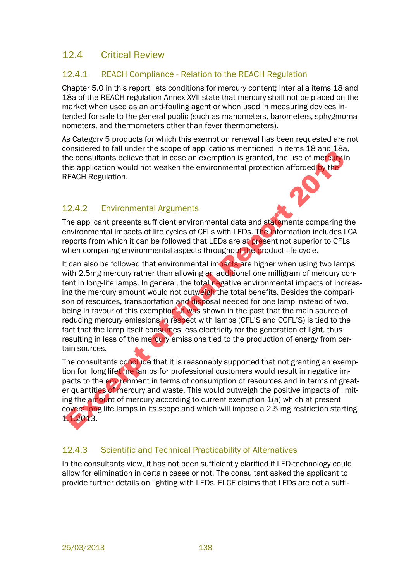#### 12.4 Critical Review

#### 12.4.1 REACH Compliance - Relation to the REACH Regulation

Chapter 5.0 in this report lists conditions for mercury content; inter alia items 18 and 18a of the REACH regulation Annex XVII state that mercury shall not be placed on the market when used as an anti-fouling agent or when used in measuring devices intended for sale to the general public (such as manometers, barometers, sphygmomanometers, and thermometers other than fever thermometers).

As Category 5 products for which this exemption renewal has been requested are not considered to fall under the scope of applications mentioned in items 18 and 18a, the consultants believe that in case an exemption is granted, the use of mercury in this application would not weaken the environmental protection afforded by the REACH Regulation.

#### 12.4.2 Environmental Arguments

The applicant presents sufficient environmental data and statements comparing the environmental impacts of life cycles of CFLs with LEDs. The information includes LCA reports from which it can be followed that LEDs are at present not superior to CFLs when comparing environmental aspects throughout the product life cycle.

It can also be followed that environmental impacts are higher when using two lamps with 2.5mg mercury rather than allowing an additional one milligram of mercury content in long-life lamps. In general, the total negative environmental impacts of increasing the mercury amount would not outweigh the total benefits. Besides the comparison of resources, transportation and disposal needed for one lamp instead of two, being in favour of this exemption, it was shown in the past that the main source of reducing mercury emissions in respect with lamps (CFL'S and CCFL'S) is tied to the fact that the lamp itself consumes less electricity for the generation of light, thus resulting in less of the mercury emissions tied to the production of energy from certain sources. Using the mercury amount would not outwering the base of the position of method is a proportion in the solution of the set of method is application would not weaken the environmental protection afforded to the filst applic

The consultants conclude that it is reasonably supported that not granting an exemption for long lifetime lamps for professional customers would result in negative impacts to the environment in terms of consumption of resources and in terms of greater quantities of mercury and waste. This would outweigh the positive impacts of limiting the amount of mercury according to current exemption 1(a) which at present covers long life lamps in its scope and which will impose a 2.5 mg restriction starting 1.1.2013.

#### 12.4.3 Scientific and Technical Practicability of Alternatives

In the consultants view, it has not been sufficiently clarified if LED-technology could allow for elimination in certain cases or not. The consultant asked the applicant to provide further details on lighting with LEDs. ELCF claims that LEDs are not a suffi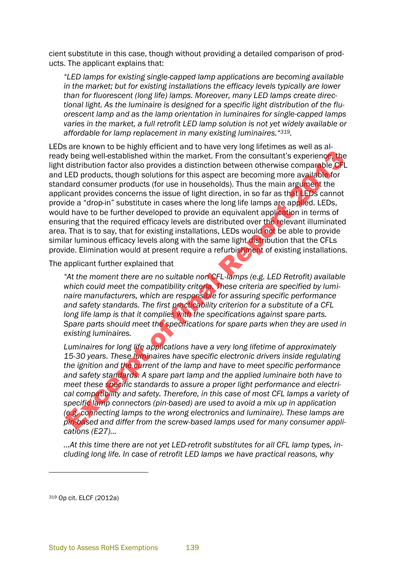cient substitute in this case, though without providing a detailed comparison of products. The applicant explains that:

*"LED lamps for existing single-capped lamp applications are becoming available in the market; but for existing installations the efficacy levels typically are lower than for fluorescent (long life) lamps. Moreover, many LED lamps create directional light. As the luminaire is designed for a specific light distribution of the fluorescent lamp and as the lamp orientation in luminaires for single-capped lamps varies in the market, a full retrofit LED lamp solution is not yet widely available or affordable for lamp replacement in many existing luminaires."319.* 

LEDs are known to be highly efficient and to have very long lifetimes as well as already being well-established within the market. From the consultant's experience, the light distribution factor also provides a distinction between otherwise comparable CFL and LED products, though solutions for this aspect are becoming more available for standard consumer products (for use in households). Thus the main argument the applicant provides concerns the issue of light direction, in so far as that LEDs cannot provide a "drop-in" substitute in cases where the long life lamps are applied. LEDs, would have to be further developed to provide an equivalent application in terms of ensuring that the required efficacy levels are distributed over the relevant illuminated area. That is to say, that for existing installations, LEDs would not be able to provide similar luminous efficacy levels along with the same light distribution that the CFLs provide. Elimination would at present require a refurbishment of existing installations. y being well-established within the market. From the consultant's experience, the distribution factor also provides a distribution factor between otherwise comparable CFI products, though solutions for this aspect are beco

The applicant further explained that

*"At the moment there are no suitable non CFL-lamps (e.g. LED Retrofit) available which could meet the compatibility criteria. These criteria are specified by luminaire manufacturers, which are responsible for assuring specific performance and safety standards. The first practicability criterion for a substitute of a CFL long life lamp is that it complies with the specifications against spare parts. Spare parts should meet the specifications for spare parts when they are used in existing luminaires.* 

*Luminaires for long life applications have a very long lifetime of approximately 15-30 years. These luminaires have specific electronic drivers inside regulating the ignition and the current of the lamp and have to meet specific performance and safety standards. A spare part lamp and the applied luminaire both have to meet these specific standards to assure a proper light performance and electrical compatibility and safety. Therefore, in this case of most CFL lamps a variety of specific lamp connectors (pin-based) are used to avoid a mix up in application (e.g. connecting lamps to the wrong electronics and luminaire). These lamps are pin-based and differ from the screw-based lamps used for many consumer applications (E27)…*

*…At this time there are not yet LED-retrofit substitutes for all CFL lamp types, including long life. In case of retrofit LED lamps we have practical reasons, why* 

<sup>319</sup> Op cit. ELCF (2012a)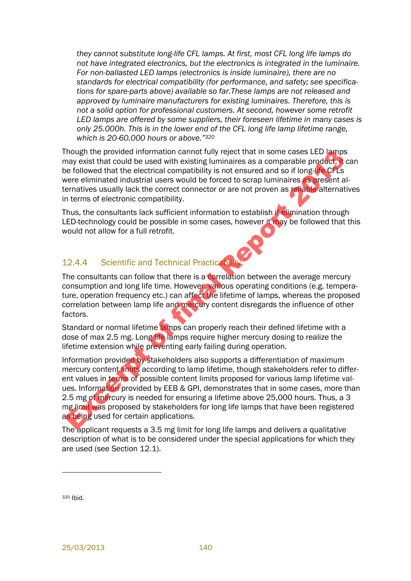*they cannot substitute long-life CFL lamps. At first, most CFL long life lamps do not have integrated electronics, but the electronics is integrated in the luminaire. For non-ballasted LED lamps (electronics is inside luminaire), there are no standards for electrical compatibility (for performance, and safety; see specifications for spare-parts above) available so far.These lamps are not released and approved by luminaire manufacturers for existing luminaires. Therefore, this is not a solid option for professional customers. At second, however some retrofit LED lamps are offered by some suppliers, their foreseen lifetime in many cases is only 25.000h. This is in the lower end of the CFL long life lamp lifetime range, which is 20-60.000 hours or above."*<sup>320</sup>

Though the provided information cannot fully reject that in some cases LED lamps may exist that could be used with existing luminaires as a comparable product, it can be followed that the electrical compatibility is not ensured and so if long-life CFLs were eliminated industrial users would be forced to scrap luminaires as present alternatives usually lack the correct connector or are not proven as reliable alternatives in terms of electronic compatibility.

Thus, the consultants lack sufficient information to establish if elimination through LED-technology could be possible in some cases, however it may be followed that this would not allow for a full retrofit.

#### 12.4.4 Scientific and Technical Practicability

The consultants can follow that there is a correlation between the average mercury consumption and long life time. However, various operating conditions (e.g. temperature, operation frequency etc.) can affect the lifetime of lamps, whereas the proposed correlation between lamp life and mercury content disregards the influence of other factors.

Standard or normal lifetime lamps can properly reach their defined lifetime with a dose of max 2.5 mg. Long life lamps require higher mercury dosing to realize the lifetime extension while preventing early failing during operation.

Information provided by stakeholders also supports a differentiation of maximum mercury content limits according to lamp lifetime, though stakeholders refer to different values in terms of possible content limits proposed for various lamp lifetime values. Information provided by EEB & GPI, demonstrates that in some cases, more than 2.5 mg of mercury is needed for ensuring a lifetime above 25,000 hours. Thus, a 3 mg limit was proposed by stakeholders for long life lamps that have been registered as being used for certain applications. Though the provided information cannot fully reject that in some cases LED lamps<br>that the discussion and the set of the detrical compatibility is not ensured and so if long-the celuse<br>of fillowed that the electrical compat

The applicant requests a 3.5 mg limit for long life lamps and delivers a qualitative description of what is to be considered under the special applications for which they are used (see Section [12.1\)](#page-3-1).

<sup>320</sup> Ibid.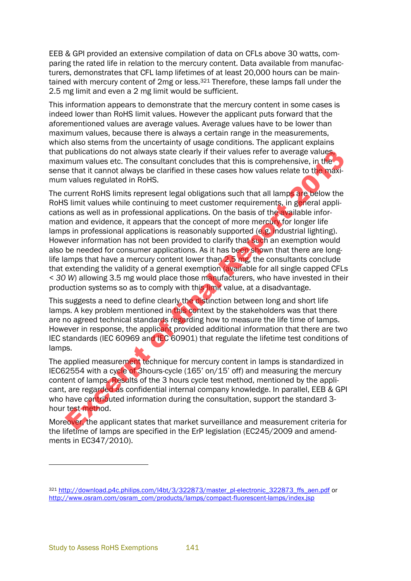EEB & GPI provided an extensive compilation of data on CFLs above 30 watts, comparing the rated life in relation to the mercury content. Data available from manufacturers, demonstrates that CFL lamp lifetimes of at least 20,000 hours can be maintained with mercury content of 2mg or less.<sup>321</sup> Therefore, these lamps fall under the 2.5 mg limit and even a 2 mg limit would be sufficient.

This information appears to demonstrate that the mercury content in some cases is indeed lower than RoHS limit values. However the applicant puts forward that the aforementioned values are average values. Average values have to be lower than maximum values, because there is always a certain range in the measurements, which also stems from the uncertainty of usage conditions. The applicant explains that publications do not always state clearly if their values refer to average values, maximum values etc. The consultant concludes that this is comprehensive, in the sense that it cannot always be clarified in these cases how values relate to the maximum values regulated in RoHS.

The current RoHS limits represent legal obligations such that all lamps are below the RoHS limit values while continuing to meet customer requirements, in general applications as well as in professional applications. On the basis of the available information and evidence, it appears that the concept of more mercury for longer life lamps in professional applications is reasonably supported (e.g. industrial lighting). However information has not been provided to clarify that such an exemption would also be needed for consumer applications. As it has been shown that there are longlife lamps that have a mercury content lower than 2.5 mg, the consultants conclude that extending the validity of a general exemption (available for all single capped CFLs *< 30 W*) allowing 3.5 mg would place those manufacturers, who have invested in their production systems so as to comply with this limit value, at a disadvantage. publications do not always state clearly if their values refer to average values<br>num values etc. The consultant concludes that his is comprehensive, in the<br>values regulated in RoHS.<br>External Report to the consultant conclu

This suggests a need to define clearly the distinction between long and short life lamps. A key problem mentioned in this context by the stakeholders was that there are no agreed technical standards regarding how to measure the life time of lamps. However in response, the applicant provided additional information that there are two IEC standards (IEC 60969 and IEC 60901) that regulate the lifetime test conditions of lamps.

The applied measurement technique for mercury content in lamps is standardized in IEC62554 with a cycle of 3hours-cycle (165' on/15' off) and measuring the mercury content of lamps. Results of the 3 hours cycle test method, mentioned by the applicant, are regarded as confidential internal company knowledge. In parallel, EEB & GPI who have contributed information during the consultation, support the standard 3 hour test method.

Moreover, the applicant states that market surveillance and measurement criteria for the lifetime of lamps are specified in the ErP legislation (EC245/2009 and amendments in EC347/2010).

<sup>321</sup> [http://download.p4c.philips.com/l4bt/3/322873/master\\_pl-electronic\\_322873\\_ffs\\_aen.pdf](http://download.p4c.philips.com/l4bt/3/322873/master_pl-electronic_322873_ffs_aen.pdf) or [http://www.osram.com/osram\\_com/products/lamps/compact-fluorescent-lamps/index.jsp](http://www.osram.com/osram_com/products/lamps/compact-fluorescent-lamps/index.jsp)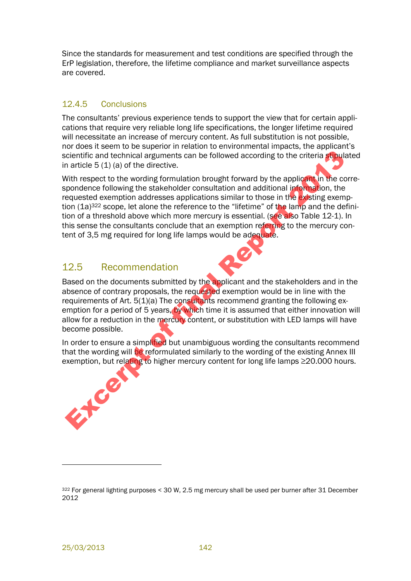Since the standards for measurement and test conditions are specified through the ErP legislation, therefore, the lifetime compliance and market surveillance aspects are covered.

#### 12.4.5 Conclusions

The consultants' previous experience tends to support the view that for certain applications that require very reliable long life specifications, the longer lifetime required will necessitate an increase of mercury content. As full substitution is not possible, nor does it seem to be superior in relation to environmental impacts, the applicant's scientific and technical arguments can be followed according to the criteria stipulated in article 5 (1) (a) of the directive.

With respect to the wording formulation brought forward by the applicant in the correspondence following the stakeholder consultation and additional information, the requested exemption addresses applications similar to those in the existing exemption (1a)<sup>322</sup> scope, let alone the reference to the "lifetime" of the lamp and the definition of a threshold above which more mercury is essential. (see also Table 12-1). In this sense the consultants conclude that an exemption referring to the mercury content of 3,5 mg required for long life lamps would be adequate. cientificand technical arguments can be followed according to the criteria studie<br>
an article 5 (1) (a) of the directive.<br>
With respect to the wording formulation brought forward by the applicant in the correction<br>
expond

#### 12.5 Recommendation

Based on the documents submitted by the applicant and the stakeholders and in the absence of contrary proposals, the requested exemption would be in line with the requirements of Art. 5(1)(a) The consultants recommend granting the following exemption for a period of 5 years, by which time it is assumed that either innovation will allow for a reduction in the mercury content, or substitution with LED lamps will have become possible.

In order to ensure a simplified but unambiguous wording the consultants recommend that the wording will be reformulated similarly to the wording of the existing Annex III exemption, but relating to higher mercury content for long life lamps ≥20.000 hours.



<sup>322</sup> For general lighting purposes < 30 W, 2.5 mg mercury shall be used per burner after 31 December 2012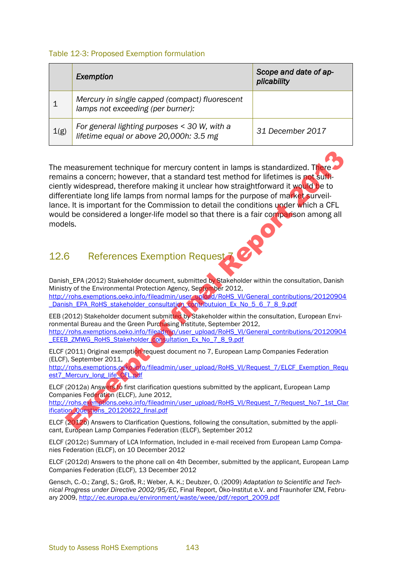#### Table 12-3: Proposed Exemption formulation

|      | Exemption                                                                               | Scope and date of ap-<br>plicability |
|------|-----------------------------------------------------------------------------------------|--------------------------------------|
|      | Mercury in single capped (compact) fluorescent<br>lamps not exceeding (per burner):     |                                      |
| 1(g) | For general lighting purposes < 30 W, with a<br>lifetime equal or above 20,000h: 3.5 mg | 31 December 2017                     |

The measurement technique for mercury content in lamps is standardized. There remains a concern; however, that a standard test method for lifetimes is not sufficiently widespread, therefore making it unclear how straightforward it would be to differentiate long life lamps from normal lamps for the purpose of market surveillance. It is important for the Commission to detail the conditions under which a CFL would be considered a longer-life model so that there is a fair comparison among all models. measuremen[t](http://rohs.exemptions.oeko.info/fileadmin/user_upload/RoHS_VI/General_contributions/20120904_EEEB_ZMWG_RoHS_Stakeholder_consultation_Ex_No_7_8_9.pdf) technique for mercury content in lamps is standardized. There<br>ains a concern; however, that a standard test method for lifetimes is **not**<br>sumply widespread, therefore making it unclear how straightforward it wo

## 12.6 References Exemption Request 7

Danish EPA (2012) Stakeholder document, submitted by Stakeholder within the consultation, Danish Ministry of the Environmental Protection Agency, September 2012, http://rohs.exemptions.oeko.info/fileadmin/user\_upload/RoHS\_VI/General\_contributions/20120904 Danish\_EPA\_RoHS\_stakeholder\_consultation\_contributuion\_Ex\_No\_5\_6\_7\_8\_9.pdf

EEB (2012) Stakeholder document submitted by Stakeholder within the consultation, European Environmental Bureau and the Green Purchasing Institute, September 2012, http://rohs.exemptions.oeko.info/fileadmin/user\_upload/RoHS\_VI/General\_contributions/20120904 \_EEEB\_ZMWG\_RoHS\_Stakeholder\_consultation\_Ex\_No\_7\_8\_9.pdf

ELCF (2011) Original exemption request document no 7, European Lamp Companies Federation (ELCF), September 2011,

http://rohs.exemptions.oeko.info/fileadmin/user\_upload/RoHS\_VI/Request\_7/ELCF\_Exemption\_Requ est7\_Mercury\_long\_life<sup>\</sup>CFL.pdf

ELCF (2012a) Answers to first clarification questions submitted by the applicant, European Lamp Companies Federation (ELCF), June 2012,

http://rohs.exemptions.oeko.info/fileadmin/user\_upload/RoHS\_VI/Request\_7/Request\_No7\_1st\_Clar ification Questions 20120622 final.pdf

ELCF (2012b) Answers to Clarification Questions, following the consultation, submitted by the applicant, European Lamp Companies Federation (ELCF), September 2012

ELCF (2012c) Summary of LCA Information, Included in e-mail received from European Lamp Companies Federation (ELCF), on 10 December 2012

ELCF (2012d) Answers to the phone call on 4th December, submitted by the applicant, European Lamp Companies Federation (ELCF), 13 December 2012

Gensch, C.-O.; Zangl, S.; Groß, R.; Weber, A. K.; Deubzer, O. (2009) *Adaptation to Scientific and Technical Progress under Directive 2002/95/EC*, Final Report, Öko-Institut e.V. and Fraunhofer IZM, February 2009[, http://ec.europa.eu/environment/waste/weee/pdf/report\\_2009.pdf](http://ec.europa.eu/environment/waste/weee/pdf/report_2009.pdf)